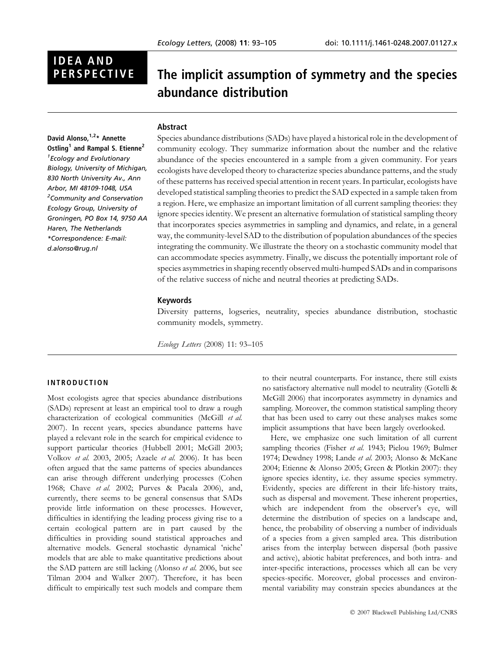# **IDEA AND<br>PERSPECTIVE**

# The implicit assumption of symmetry and the species abundance distribution

# Abstract

David Alonso, 1,2\* Annette Ostling<sup>1</sup> and Rampal S. Etienne<sup>2</sup> 1 Ecology and Evolutionary Biology, University of Michigan, 830 North University Av., Ann Arbor, MI 48109-1048, USA <sup>2</sup> Community and Conservation Ecology Group, University of Groningen, PO Box 14, 9750 AA Haren, The Netherlands \*Correspondence: E-mail: d.alonso@rug.nl

Species abundance distributions (SADs) have played a historical role in the development of community ecology. They summarize information about the number and the relative abundance of the species encountered in a sample from a given community. For years ecologists have developed theory to characterize species abundance patterns, and the study of these patterns has received special attention in recent years. In particular, ecologists have developed statistical sampling theories to predict the SAD expected in a sample taken from a region. Here, we emphasize an important limitation of all current sampling theories: they ignore species identity. We present an alternative formulation of statistical sampling theory that incorporates species asymmetries in sampling and dynamics, and relate, in a general way, the community-level SAD to the distribution of population abundances of the species integrating the community. We illustrate the theory on a stochastic community model that can accommodate species asymmetry. Finally, we discuss the potentially important role of species asymmetries in shaping recently observed multi-humped SADs and in comparisons of the relative success of niche and neutral theories at predicting SADs.

# Keywords

Diversity patterns, logseries, neutrality, species abundance distribution, stochastic community models, symmetry.

Ecology Letters (2008) 11: 93–105

# INTRODUCTION

Most ecologists agree that species abundance distributions (SADs) represent at least an empirical tool to draw a rough characterization of ecological communities (McGill et al. 2007). In recent years, species abundance patterns have played a relevant role in the search for empirical evidence to support particular theories (Hubbell 2001; McGill 2003; Volkov et al. 2003, 2005; Azaele et al. 2006). It has been often argued that the same patterns of species abundances can arise through different underlying processes (Cohen 1968; Chave et al. 2002; Purves & Pacala 2006), and, currently, there seems to be general consensus that SADs provide little information on these processes. However, difficulties in identifying the leading process giving rise to a certain ecological pattern are in part caused by the difficulties in providing sound statistical approaches and alternative models. General stochastic dynamical 'niche' models that are able to make quantitative predictions about the SAD pattern are still lacking (Alonso *et al.* 2006, but see Tilman 2004 and Walker 2007). Therefore, it has been difficult to empirically test such models and compare them to their neutral counterparts. For instance, there still exists no satisfactory alternative null model to neutrality (Gotelli & McGill 2006) that incorporates asymmetry in dynamics and sampling. Moreover, the common statistical sampling theory that has been used to carry out these analyses makes some implicit assumptions that have been largely overlooked.

Here, we emphasize one such limitation of all current sampling theories (Fisher et al. 1943; Pielou 1969; Bulmer 1974; Dewdney 1998; Lande et al. 2003; Alonso & McKane 2004; Etienne & Alonso 2005; Green & Plotkin 2007): they ignore species identity, i.e. they assume species symmetry. Evidently, species are different in their life-history traits, such as dispersal and movement. These inherent properties, which are independent from the observer's eye, will determine the distribution of species on a landscape and, hence, the probability of observing a number of individuals of a species from a given sampled area. This distribution arises from the interplay between dispersal (both passive and active), abiotic habitat preferences, and both intra- and inter-specific interactions, processes which all can be very species-specific. Moreover, global processes and environmental variability may constrain species abundances at the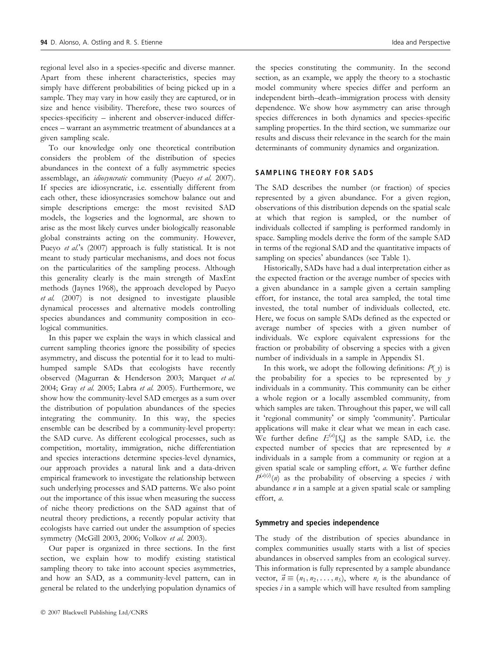regional level also in a species-specific and diverse manner. Apart from these inherent characteristics, species may simply have different probabilities of being picked up in a sample. They may vary in how easily they are captured, or in size and hence visibility. Therefore, these two sources of species-specificity – inherent and observer-induced differences – warrant an asymmetric treatment of abundances at a given sampling scale.

To our knowledge only one theoretical contribution considers the problem of the distribution of species abundances in the context of a fully asymmetric species assemblage, an *idiosyncratic* community (Pueyo et al. 2007). If species are idiosyncratic, i.e. essentially different from each other, these idiosyncrasies somehow balance out and simple descriptions emerge: the most revisited SAD models, the logseries and the lognormal, are shown to arise as the most likely curves under biologically reasonable global constraints acting on the community. However, Pueyo et al.'s (2007) approach is fully statistical. It is not meant to study particular mechanisms, and does not focus on the particularities of the sampling process. Although this generality clearly is the main strength of MaxEnt methods (Jaynes 1968), the approach developed by Pueyo et al. (2007) is not designed to investigate plausible dynamical processes and alternative models controlling species abundances and community composition in ecological communities.

In this paper we explain the ways in which classical and current sampling theories ignore the possibility of species asymmetry, and discuss the potential for it to lead to multihumped sample SADs that ecologists have recently observed (Magurran & Henderson 2003; Marquet et al. 2004; Gray et al. 2005; Labra et al. 2005). Furthermore, we show how the community-level SAD emerges as a sum over the distribution of population abundances of the species integrating the community. In this way, the species ensemble can be described by a community-level property: the SAD curve. As different ecological processes, such as competition, mortality, immigration, niche differentiation and species interactions determine species-level dynamics, our approach provides a natural link and a data-driven empirical framework to investigate the relationship between such underlying processes and SAD patterns. We also point out the importance of this issue when measuring the success of niche theory predictions on the SAD against that of neutral theory predictions, a recently popular activity that ecologists have carried out under the assumption of species symmetry (McGill 2003, 2006; Volkov et al. 2003).

Our paper is organized in three sections. In the first section, we explain how to modify existing statistical sampling theory to take into account species asymmetries, and how an SAD, as a community-level pattern, can in general be related to the underlying population dynamics of the species constituting the community. In the second section, as an example, we apply the theory to a stochastic model community where species differ and perform an independent birth–death–immigration process with density dependence. We show how asymmetry can arise through species differences in both dynamics and species-specific sampling properties. In the third section, we summarize our results and discuss their relevance in the search for the main determinants of community dynamics and organization.

# SAMPLING THEORY FOR SADS

The SAD describes the number (or fraction) of species represented by a given abundance. For a given region, observations of this distribution depends on the spatial scale at which that region is sampled, or the number of individuals collected if sampling is performed randomly in space. Sampling models derive the form of the sample SAD in terms of the regional SAD and the quantitative impacts of sampling on species' abundances (see Table 1).

Historically, SADs have had a dual interpretation either as the expected fraction or the average number of species with a given abundance in a sample given a certain sampling effort, for instance, the total area sampled, the total time invested, the total number of individuals collected, etc. Here, we focus on sample SADs defined as the expected or average number of species with a given number of individuals. We explore equivalent expressions for the fraction or probability of observing a species with a given number of individuals in a sample in Appendix S1.

In this work, we adopt the following definitions:  $P(y)$  is the probability for a species to be represented by  $y$ individuals in a community. This community can be either a whole region or a locally assembled community, from which samples are taken. Throughout this paper, we will call it 'regional community' or simply 'community'. Particular applications will make it clear what we mean in each case. We further define  $E^{(a)}[S_n]$  as the sample SAD, i.e. the expected number of species that are represented by  $n$ individuals in a sample from a community or region at a given spatial scale or sampling effort, a. We further define  $P^{(a)(i)}(n)$  as the probability of observing a species i with abundance  $n$  in a sample at a given spatial scale or sampling effort, a.

## Symmetry and species independence

The study of the distribution of species abundance in complex communities usually starts with a list of species abundances in observed samples from an ecological survey. This information is fully represented by a sample abundance vector,  $\vec{n} \equiv (n_1, n_2, \dots, n_S)$ , where  $n_i$  is the abundance of species  $i$  in a sample which will have resulted from sampling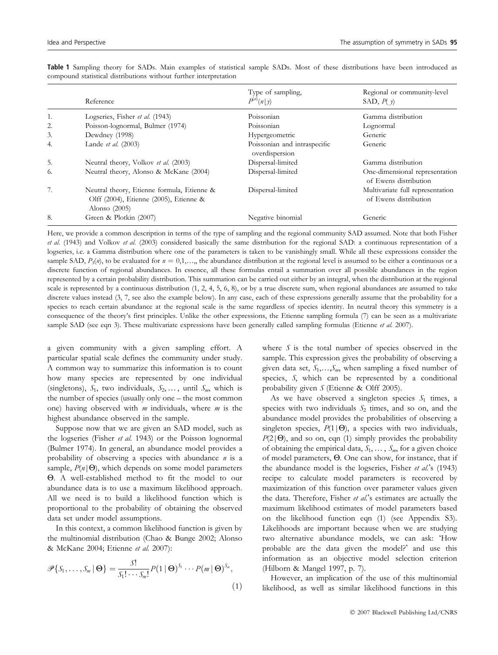|    | Reference                                                                                               | Type of sampling,<br>$P^{(a)}(n y)$            | Regional or community-level<br>SAD, $P(y)$                |
|----|---------------------------------------------------------------------------------------------------------|------------------------------------------------|-----------------------------------------------------------|
| 1. | Logseries, Fisher et al. (1943)                                                                         | Poissonian                                     | Gamma distribution                                        |
| 2. | Poisson-lognormal, Bulmer (1974)                                                                        | Poissonian                                     | Lognormal                                                 |
| 3. | Dewdney (1998)                                                                                          | Hypergeometric                                 | Generic                                                   |
| 4. | Lande et al. (2003)                                                                                     | Poissonian and intraspecific<br>overdispersion | Generic                                                   |
| 5. | Neutral theory, Volkov et al. (2003)                                                                    | Dispersal-limited                              | Gamma distribution                                        |
| 6. | Neutral theory, Alonso & McKane (2004)                                                                  | Dispersal-limited                              | One-dimensional representation<br>of Ewens distribution   |
| 7. | Neutral theory, Etienne formula, Etienne &<br>Olff (2004), Etienne (2005), Etienne &<br>Alonso $(2005)$ | Dispersal-limited                              | Multivariate full representation<br>of Ewens distribution |
| 8. | Green & Plotkin (2007)                                                                                  | Negative binomial                              | Generic                                                   |

Table 1 Sampling theory for SADs. Main examples of statistical sample SADs. Most of these distributions have been introduced as compound statistical distributions without further interpretation

Here, we provide a common description in terms of the type of sampling and the regional community SAD assumed. Note that both Fisher et al. (1943) and Volkov et al. (2003) considered basically the same distribution for the regional SAD: a continuous representation of a logseries, i.e. a Gamma distribution where one of the parameters is taken to be vanishingly small. While all these expressions consider the sample SAD,  $P_5(n)$ , to be evaluated for  $n = 0,1,...$ , the abundance distribution at the regional level is assumed to be either a continuous or a discrete function of regional abundances. In essence, all these formulas entail a summation over all possible abundances in the region represented by a certain probability distribution. This summation can be carried out either by an integral, when the distribution at the regional scale is represented by a continuous distribution (1, 2, 4, 5, 6, 8), or by a true discrete sum, when regional abundances are assumed to take discrete values instead (3, 7, see also the example below). In any case, each of these expressions generally assume that the probability for a species to reach certain abundance at the regional scale is the same regardless of species identity. In neutral theory this symmetry is a consequence of the theory's first principles. Unlike the other expressions, the Etienne sampling formula (7) can be seen as a multivariate sample SAD (see eqn 3). These multivariate expressions have been generally called sampling formulas (Etienne et al. 2007).

a given community with a given sampling effort. A particular spatial scale defines the community under study. A common way to summarize this information is to count how many species are represented by one individual (singletons),  $S_1$ , two individuals,  $S_2, \ldots$ , until  $S_m$ , which is the number of species (usually only one – the most common one) having observed with  $m$  individuals, where  $m$  is the highest abundance observed in the sample.

Suppose now that we are given an SAD model, such as the logseries (Fisher et al. 1943) or the Poisson lognormal (Bulmer 1974). In general, an abundance model provides a probability of observing a species with abundance  $n$  is a sample,  $P(n|\Theta)$ , which depends on some model parameters Q. A well-established method to fit the model to our abundance data is to use a maximum likelihood approach. All we need is to build a likelihood function which is proportional to the probability of obtaining the observed data set under model assumptions.

In this context, a common likelihood function is given by the multinomial distribution (Chao & Bunge 2002; Alonso & McKane 2004; Etienne et al. 2007):

$$
\mathscr{P}\{S_1,\ldots,S_m\,|\,\mathbf{\Theta}\}=\frac{S!}{S_1!\cdots S_m!}P(1\,|\,\mathbf{\Theta})^{S_1}\cdots P(m\,|\,\mathbf{\Theta})^{S_m},\tag{1}
$$

where  $S$  is the total number of species observed in the sample. This expression gives the probability of observing a given data set,  $S_1, \ldots, S_m$ , when sampling a fixed number of species, S, which can be represented by a conditional probability given S (Etienne & Olff 2005).

As we have observed a singleton species  $S_1$  times, a species with two individuals  $S_2$  times, and so on, and the abundance model provides the probabilities of observing a singleton species,  $P(1|\Theta)$ , a species with two individuals,  $P(2|\Theta)$ , and so on, eqn (1) simply provides the probability of obtaining the empirical data,  $S_1, \ldots, S_m$ , for a given choice of model parameters, Q. One can show, for instance, that if the abundance model is the logseries, Fisher et al.'s  $(1943)$ recipe to calculate model parameters is recovered by maximization of this function over parameter values given the data. Therefore, Fisher  $et$   $al$ 's estimates are actually the maximum likelihood estimates of model parameters based on the likelihood function eqn (1) (see Appendix S3). Likelihoods are important because when we are studying two alternative abundance models, we can ask: 'How probable are the data given the model? and use this information as an objective model selection criterion (Hilborn & Mangel 1997, p. 7).

However, an implication of the use of this multinomial likelihood, as well as similar likelihood functions in this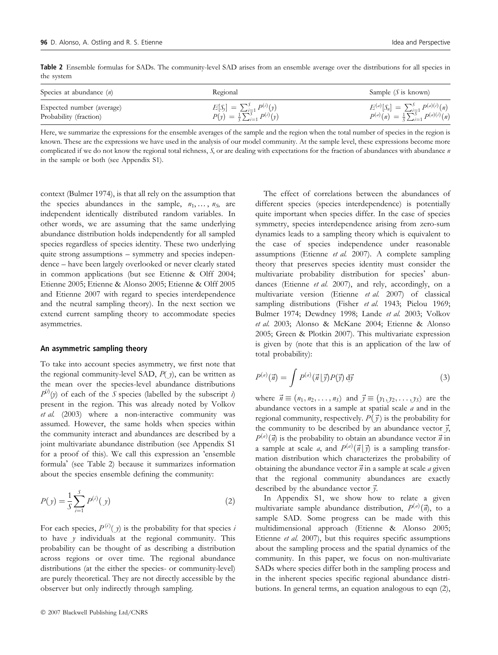Table 2 Ensemble formulas for SADs. The community-level SAD arises from an ensemble average over the distributions for all species in the system

| Species at abundance $(n)$                          | Regional                                                                               | Sample $(S \text{ is known})$                                                                            |
|-----------------------------------------------------|----------------------------------------------------------------------------------------|----------------------------------------------------------------------------------------------------------|
| Expected number (average)<br>Probability (fraction) | $E[S_j] = \sum_{i=1}^{S} P^{(i)}(y)$<br>$P(y) = \frac{1}{S} \sum_{i=1}^{S} P^{(i)}(y)$ | $E^{(a)}[S_n] = \sum_{i=1}^{S} P^{(a)(i)}(n)$<br>$P^{(a)}(n) = \frac{1}{s} \sum_{i=1}^{s} P^{(a)(i)}(n)$ |

Here, we summarize the expressions for the ensemble averages of the sample and the region when the total number of species in the region is known. These are the expressions we have used in the analysis of our model community. At the sample level, these expressions become more complicated if we do not know the regional total richness,  $S<sub>s</sub>$  or are dealing with expectations for the fraction of abundances with abundance  $n$ in the sample or both (see Appendix S1).

context (Bulmer 1974), is that all rely on the assumption that the species abundances in the sample,  $n_1, \ldots, n_S$ , are independent identically distributed random variables. In other words, we are assuming that the same underlying abundance distribution holds independently for all sampled species regardless of species identity. These two underlying quite strong assumptions – symmetry and species independence – have been largely overlooked or never clearly stated in common applications (but see Etienne & Olff 2004; Etienne 2005; Etienne & Alonso 2005; Etienne & Olff 2005 and Etienne 2007 with regard to species interdependence and the neutral sampling theory). In the next section we extend current sampling theory to accommodate species asymmetries.

# An asymmetric sampling theory

To take into account species asymmetry, we first note that the regional community-level SAD,  $P(\gamma)$ , can be written as the mean over the species-level abundance distributions  $P^{(\lambda)}(y)$  of each of the  $\overline{S}$  species (labelled by the subscript i) present in the region. This was already noted by Volkov et al. (2003) where a non-interactive community was assumed. However, the same holds when species within the community interact and abundances are described by a joint multivariate abundance distribution (see Appendix S1 for a proof of this). We call this expression an 'ensemble formula' (see Table 2) because it summarizes information about the species ensemble defining the community:

$$
P(y) = \frac{1}{S} \sum_{i=1}^{S} P^{(i)}(y)
$$
 (2)

For each species,  $P^{(i)}(y)$  is the probability for that species is to have  $y$  individuals at the regional community. This probability can be thought of as describing a distribution across regions or over time. The regional abundance distributions (at the either the species- or community-level) are purely theoretical. They are not directly accessible by the observer but only indirectly through sampling.

The effect of correlations between the abundances of different species (species interdependence) is potentially quite important when species differ. In the case of species symmetry, species interdependence arising from zero-sum dynamics leads to a sampling theory which is equivalent to the case of species independence under reasonable assumptions (Etienne et al. 2007). A complete sampling theory that preserves species identity must consider the multivariate probability distribution for species' abundances (Etienne et al. 2007), and rely, accordingly, on a multivariate version (Etienne et al. 2007) of classical sampling distributions (Fisher et al. 1943; Pielou 1969; Bulmer 1974; Dewdney 1998; Lande et al. 2003; Volkov et al. 2003; Alonso & McKane 2004; Etienne & Alonso 2005; Green & Plotkin 2007). This multivariate expression is given by (note that this is an application of the law of total probability):

$$
P^{(a)}(\vec{n}) = \int P^{(a)}(\vec{n}|\vec{y})P(\vec{y}) d\vec{y}
$$
\n(3)

where  $\vec{n} \equiv (n_1, n_2, \dots, n_S)$  and  $\vec{y} \equiv (y_1, y_2, \dots, y_S)$  are the abundance vectors in a sample at spatial scale  $a$  and in the regional community, respectively.  $P(\vec{y})$  is the probability for the community to be described by an abundance vector  $\vec{y}$ ,  $P^{(a)}(\vec{n})$  is the probability to obtain an abundance vector  $\vec{n}$  in a sample at scale a, and  $P^{(a)}(\vec{n}|\vec{y})$  is a sampling transformation distribution which characterizes the probability of obtaining the abundance vector  $\vec{n}$  in a sample at scale a given that the regional community abundances are exactly described by the abundance vector  $\vec{y}$ .

In Appendix S1, we show how to relate a given multivariate sample abundance distribution,  $P^{(a)}(\vec{n})$ , to a sample SAD. Some progress can be made with this multidimensional approach (Etienne & Alonso 2005; Etienne et al. 2007), but this requires specific assumptions about the sampling process and the spatial dynamics of the community. In this paper, we focus on non-multivariate SADs where species differ both in the sampling process and in the inherent species specific regional abundance distributions. In general terms, an equation analogous to eqn (2),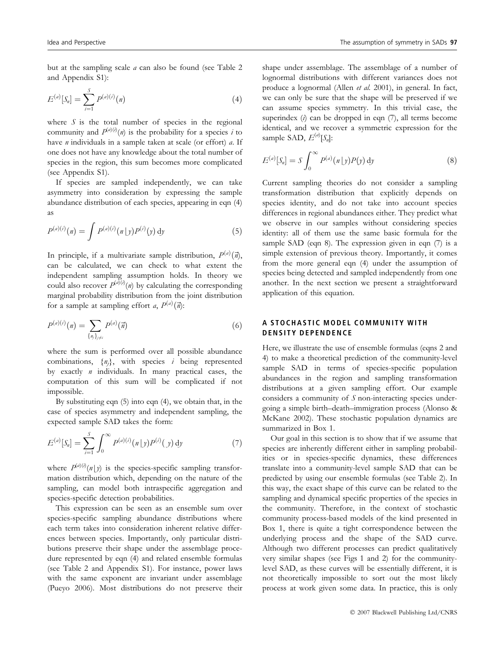but at the sampling scale a can also be found (see Table 2 and Appendix S1):

$$
E^{(a)}[S_n] = \sum_{i=1}^{S} P^{(a)(i)}(n)
$$
\n(4)

where  $S$  is the total number of species in the regional community and  $P^{(a)(i)}(n)$  is the probability for a species i to have  $n$  individuals in a sample taken at scale (or effort)  $a$ . If one does not have any knowledge about the total number of species in the region, this sum becomes more complicated (see Appendix S1).

If species are sampled independently, we can take asymmetry into consideration by expressing the sample abundance distribution of each species, appearing in eqn (4) as

$$
P^{(a)(i)}(n) = \int P^{(a)(i)}(n|y)P^{(i)}(y) dy
$$
 (5)

In principle, if a multivariate sample distribution,  $P^{(a)}(\vec{n})$ , can be calculated, we can check to what extent the independent sampling assumption holds. In theory we could also recover  $P^{(a)(i)}(n)$  by calculating the corresponding marginal probability distribution from the joint distribution for a sample at sampling effort *a*,  $P^{(a)}(\vec{n})$ :

$$
P^{(a)(i)}(n) = \sum_{\{\eta_j\}_{j \neq i}} P^{(a)}(\vec{n}) \tag{6}
$$

where the sum is performed over all possible abundance combinations,  $\{n_j\}$ , with species *i* being represented by exactly  $n$  individuals. In many practical cases, the computation of this sum will be complicated if not impossible.

By substituting eqn (5) into eqn (4), we obtain that, in the case of species asymmetry and independent sampling, the expected sample SAD takes the form:

$$
E^{(a)}[S_n] = \sum_{i=1}^{S} \int_0^{\infty} P^{(a)(i)}(\eta | y) P^{(i)}(y) dy
$$
 (7)

where  $P^{(a)(i)}(n|y)$  is the species-specific sampling transformation distribution which, depending on the nature of the sampling, can model both intraspecific aggregation and species-specific detection probabilities.

This expression can be seen as an ensemble sum over species-specific sampling abundance distributions where each term takes into consideration inherent relative differences between species. Importantly, only particular distributions preserve their shape under the assemblage procedure represented by eqn (4) and related ensemble formulas (see Table 2 and Appendix S1). For instance, power laws with the same exponent are invariant under assemblage (Pueyo 2006). Most distributions do not preserve their shape under assemblage. The assemblage of a number of lognormal distributions with different variances does not produce a lognormal (Allen et al. 2001), in general. In fact, we can only be sure that the shape will be preserved if we can assume species symmetry. In this trivial case, the superindex  $(i)$  can be dropped in eqn  $(7)$ , all terms become identical, and we recover a symmetric expression for the sample SAD,  $E^{(a)}[S_n]$ :

$$
E^{(a)}[S_n] = S \int_0^\infty P^{(a)}(\eta | y) P(y) dy \qquad (8)
$$

Current sampling theories do not consider a sampling transformation distribution that explicitly depends on species identity, and do not take into account species differences in regional abundances either. They predict what we observe in our samples without considering species identity: all of them use the same basic formula for the sample SAD (eqn 8). The expression given in eqn (7) is a simple extension of previous theory. Importantly, it comes from the more general eqn (4) under the assumption of species being detected and sampled independently from one another. In the next section we present a straightforward application of this equation.

# A STOCHASTIC MODEL COMMUNITY WITH DENSITY DEPENDENCE

Here, we illustrate the use of ensemble formulas (eqns 2 and 4) to make a theoretical prediction of the community-level sample SAD in terms of species-specific population abundances in the region and sampling transformation distributions at a given sampling effort. Our example considers a community of S non-interacting species undergoing a simple birth–death–immigration process (Alonso & McKane 2002). These stochastic population dynamics are summarized in Box 1.

Our goal in this section is to show that if we assume that species are inherently different either in sampling probabilities or in species-specific dynamics, these differences translate into a community-level sample SAD that can be predicted by using our ensemble formulas (see Table 2). In this way, the exact shape of this curve can be related to the sampling and dynamical specific properties of the species in the community. Therefore, in the context of stochastic community process-based models of the kind presented in Box 1, there is quite a tight correspondence between the underlying process and the shape of the SAD curve. Although two different processes can predict qualitatively very similar shapes (see Figs 1 and 2) for the communitylevel SAD, as these curves will be essentially different, it is not theoretically impossible to sort out the most likely process at work given some data. In practice, this is only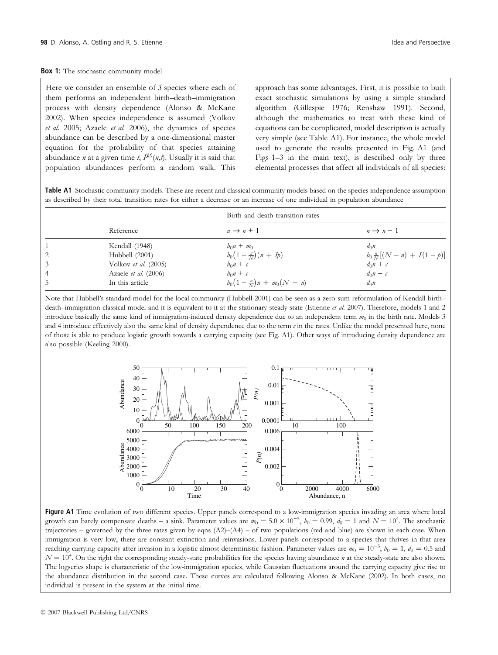#### **Box 1:** The stochastic community model

Here we consider an ensemble of  $S$  species where each of them performs an independent birth–death–immigration process with density dependence (Alonso & McKane 2002). When species independence is assumed (Volkov et al. 2005; Azaele et al. 2006), the dynamics of species abundance can be described by a one-dimensional master equation for the probability of that species attaining abundance *n* at a given time *t*,  $P^{(i)}(n,t)$ . Usually it is said that population abundances perform a random walk. This approach has some advantages. First, it is possible to built exact stochastic simulations by using a simple standard algorithm (Gillespie 1976; Renshaw 1991). Second, although the mathematics to treat with these kind of equations can be complicated, model description is actually very simple (see Table A1). For instance, the whole model used to generate the results presented in Fig. A1 (and Figs 1–3 in the main text), is described only by three elemental processes that affect all individuals of all species:

Table A1 Stochastic community models. These are recent and classical community models based on the species independence assumption as described by their total transition rates for either a decrease or an increase of one individual in population abundance

|                | Reference              | Birth and death transition rates   |                                    |  |
|----------------|------------------------|------------------------------------|------------------------------------|--|
|                |                        | $n \rightarrow n+1$                | $n \rightarrow n-1$                |  |
| 1              | Kendall (1948)         | $b_0 n + m_0$                      | $d_0n$                             |  |
| 2              | Hubbell (2001)         | $b_0(1-\frac{n}{N})(n+I_p)$        | $b_0 \frac{n}{N} [(N-n) + I(1-p)]$ |  |
| $\overline{3}$ | Volkov et al. $(2005)$ | $b_0n + c$                         | $d_0n + c$                         |  |
| $\overline{4}$ | Azaele et al. (2006)   | $b_0n + c$                         | $d_0n-c$                           |  |
| 5              | In this article        | $b_0(1-\frac{n}{N})n + m_0(N - n)$ | $d_0$ n                            |  |

Note that Hubbell's standard model for the local community (Hubbell 2001) can be seen as a zero-sum reformulation of Kendall birth– death–immigration classical model and it is equivalent to it at the stationary steady state (Etienne et al. 2007). Therefore, models 1 and 2 introduce basically the same kind of immigration-induced density dependence due to an independent term  $m_0$  in the birth rate. Models 3 and 4 introduce effectively also the same kind of density dependence due to the term  $c$  in the rates. Unlike the model presented here, none of those is able to produce logistic growth towards a carrying capacity (see Fig. A1). Other ways of introducing density dependence are also possible (Keeling 2000).



Figure A1 Time evolution of two different species. Upper panels correspond to a low-immigration species invading an area where local growth can barely compensate deaths – a sink. Parameter values are  $m_0 = 5.0 \times 10^{-5}$ ,  $b_0 = 0.99$ ,  $d_0 = 1$  and  $N = 10^4$ . The stochastic trajectories – governed by the three rates given by eqns  $(A2)$ – $(A4)$  – of two populations (red and blue) are shown in each case. When immigration is very low, there are constant extinction and reinvasions. Lower panels correspond to a species that thrives in that area reaching carrying capacity after invasion in a logistic almost deterministic fashion. Parameter values are  $m_0 = 10^{-3}$ ,  $b_0 = 1$ ,  $d_0 = 0.5$  and  $N = 10^4$ . On the right the corresponding steady-state probabilities for the species having abundance *n* at the steady-state are also shown. The logseries shape is characteristic of the low-immigration species, while Gaussian fluctuations around the carrying capacity give rise to the abundance distribution in the second case. These curves are calculated following Alonso & McKane (2002). In both cases, no individual is present in the system at the initial time.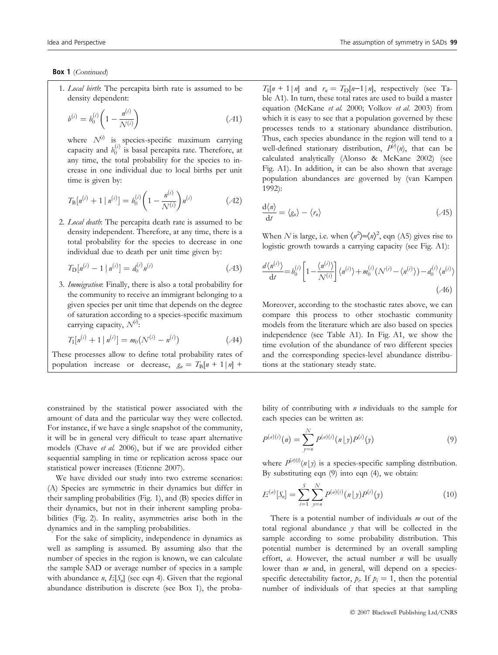# Box 1 (Continued)

1. Local birth: The percapita birth rate is assumed to be density dependent:

$$
b^{(i)} = b_0^{(i)} \left( 1 - \frac{n^{(i)}}{N^{(i)}} \right) \tag{A1}
$$

where  $N^{(i)}$  is species-specific maximum carrying capacity and  $b_0^{(i)}$  is basal percapita rate. Therefore, at any time, the total probability for the species to increase in one individual due to local births per unit time is given by:

$$
T_{\rm B}[n^{(i)} + 1 | n^{(i)}] = b_0^{(i)} \left( 1 - \frac{n^{(i)}}{N^{(i)}} \right) n^{(i)} \tag{A2}
$$

2. Local death: The percapita death rate is assumed to be density independent. Therefore, at any time, there is a total probability for the species to decrease in one individual due to death per unit time given by:

$$
T_{\rm D}[n^{(i)} - 1 \mid n^{(i)}] = d_0^{(i)} n^{(i)} \tag{A3}
$$

3. Immigration: Finally, there is also a total probability for the community to receive an immigrant belonging to a given species per unit time that depends on the degree of saturation according to a species-specific maximum carrying capacity,  $N^{(i)}$ :

$$
T_1[n^{(i)} + 1 | n^{(i)}] = m_0(N^{(i)} - n^{(i)})
$$
 (A4)

These processes allow to define total probability rates of population increase or decrease,  $g_n = T_B[n + 1|n]$  +

constrained by the statistical power associated with the amount of data and the particular way they were collected. For instance, if we have a single snapshot of the community, it will be in general very difficult to tease apart alternative models (Chave et al. 2006), but if we are provided either sequential sampling in time or replication across space our statistical power increases (Etienne 2007).

We have divided our study into two extreme scenarios: (A) Species are symmetric in their dynamics but differ in their sampling probabilities (Fig. 1), and (B) species differ in their dynamics, but not in their inherent sampling probabilities (Fig. 2). In reality, asymmetries arise both in the dynamics and in the sampling probabilities.

For the sake of simplicity, independence in dynamics as well as sampling is assumed. By assuming also that the number of species in the region is known, we can calculate the sample SAD or average number of species in a sample with abundance *n*,  $E[S_n]$  (see eqn 4). Given that the regional abundance distribution is discrete (see Box 1), the proba $T_{\rm I}$ [n + 1|n] and  $r_n = T_{\rm D}[n-1|n]$ , respectively (see Table A1). In turn, these total rates are used to build a master equation (McKane et al. 2000; Volkov et al. 2003) from which it is easy to see that a population governed by these processes tends to a stationary abundance distribution. Thus, each species abundance in the region will tend to a well-defined stationary distribution,  $P^{(\lambda)}(n)$ , that can be calculated analytically (Alonso & McKane 2002) (see Fig. A1). In addition, it can be also shown that average population abundances are governed by (van Kampen 1992):

$$
\frac{\mathrm{d}\langle n\rangle}{\mathrm{d}t} = \langle g_n\rangle - \langle r_n\rangle \tag{A5}
$$

When N is large, i.e. when  $\langle n^2 \rangle \approx \langle n \rangle^2$ , eqn (A5) gives rise to logistic growth towards a carrying capacity (see Fig. A1):

$$
\frac{d\langle n^{(i)}\rangle}{dt} = b_0^{(i)} \left[ 1 - \frac{\langle n^{(i)}\rangle}{N^{(i)}} \right] \langle n^{(i)}\rangle + m_0^{(i)} \left(N^{(i)} - \langle n^{(i)}\rangle\right) - d_0^{(i)} \langle n^{(i)}\rangle \tag{A6}
$$

Moreover, according to the stochastic rates above, we can compare this process to other stochastic community models from the literature which are also based on species independence (see Table A1). In Fig. A1, we show the time evolution of the abundance of two different species and the corresponding species-level abundance distributions at the stationary steady state.

bility of contributing with  $n$  individuals to the sample for each species can be written as:

$$
P^{(a)(i)}(\eta) = \sum_{y=n}^{N} P^{(a)(i)}(\eta \mid y) P^{(i)}(y)
$$
\n(9)

where  $P^{(a)(i)}(n|y)$  is a species-specific sampling distribution. By substituting eqn (9) into eqn (4), we obtain:

$$
E^{(a)}[S_n] = \sum_{i=1}^{S} \sum_{j=n}^{N} P^{(a)(i)}(n|y) P^{(i)}(y)
$$
(10)

There is a potential number of individuals  $m$  out of the total regional abundance  $y$  that will be collected in the sample according to some probability distribution. This potential number is determined by an overall sampling effort,  $a$ . However, the actual number  $n$  will be usually lower than *m* and, in general, will depend on a speciesspecific detectability factor,  $p_i$ . If  $p_i = 1$ , then the potential number of individuals of that species at that sampling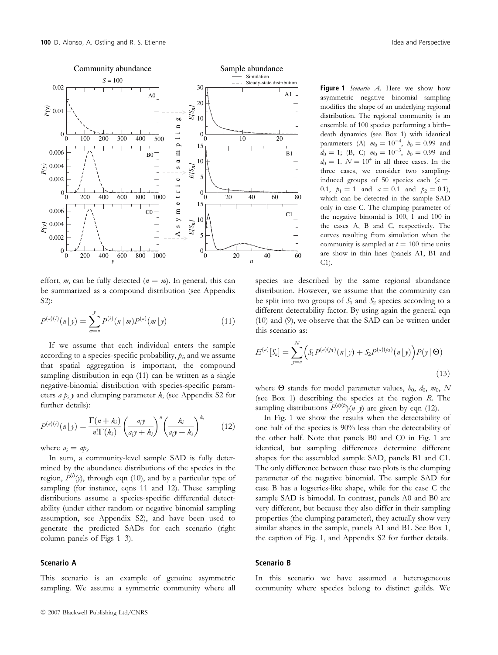

effort, *m*, can be fully detected  $(n = m)$ . In general, this can be summarized as a compound distribution (see Appendix S2):

$$
P^{(a)(i)}(n|y) = \sum_{m=n}^{y} P^{(i)}(n|m)P^{(a)}(m|y)
$$
\n(11)

If we assume that each individual enters the sample according to a species-specific probability,  $p_i$ , and we assume that spatial aggregation is important, the compound sampling distribution in eqn (11) can be written as a single negative-binomial distribution with species-specific parameters *a*  $p_i$  *y* and clumping parameter  $k_i$  (see Appendix S2 for further details):

$$
P^{(a)(i)}(n|y) = \frac{\Gamma(n+k_i)}{n!\Gamma(k_i)} \left(\frac{a_i y}{a_i y + k_i}\right)^n \left(\frac{k_i}{a_i y + k_i}\right)^{k_i} \tag{12}
$$

where  $a_i = ap_i$ .

In sum, a community-level sample SAD is fully determined by the abundance distributions of the species in the region,  $P^{(i)}(y)$ , through eqn (10), and by a particular type of sampling (for instance, eqns 11 and 12). These sampling distributions assume a species-specific differential detectability (under either random or negative binomial sampling assumption, see Appendix S2), and have been used to generate the predicted SADs for each scenario (right column panels of Figs 1–3).

# Scenario A

This scenario is an example of genuine asymmetric sampling. We assume a symmetric community where all Figure 1 Scenario A. Here we show how asymmetric negative binomial sampling modifies the shape of an underlying regional distribution. The regional community is an ensemble of 100 species performing a birth– death dynamics (see Box 1) with identical parameters (A)  $m_0 = 10^{-4}$ ,  $b_0 = 0.99$  and  $d_0 = 1$ ; (B, C)  $m_0 = 10^{-3}$ ,  $b_0 = 0.99$  and  $d_0 = 1$ .  $N = 10^4$  in all three cases. In the three cases, we consider two samplinginduced groups of 50 species each  $(a =$ 0.1,  $p_1 = 1$  and  $a = 0.1$  and  $p_2 = 0.1$ ), which can be detected in the sample SAD only in case C. The clumping parameter of the negative binomial is 100, 1 and 100 in the cases A, B and C, respectively. The curves resulting from simulation when the community is sampled at  $t = 100$  time units are show in thin lines (panels A1, B1 and  $C1$ ).

species are described by the same regional abundance distribution. However, we assume that the community can be split into two groups of  $S_1$  and  $S_2$  species according to a different detectability factor. By using again the general eqn (10) and (9), we observe that the SAD can be written under this scenario as:

$$
E^{(a)}[S_n] = \sum_{y=n}^{N} \left( S_1 P^{(a)(p_1)}(\eta | y) + S_2 P^{(a)(p_2)}(\eta | y) \right) P(y | \Theta)
$$
\n(13)

where  $\Theta$  stands for model parameter values,  $b_0$ ,  $d_0$ ,  $m_0$ , N (see Box 1) describing the species at the region R. The sampling distributions  $P^{(a)(p)}(n|y)$  are given by eqn (12).

In Fig. 1 we show the results when the detectability of one half of the species is 90% less than the detectability of the other half. Note that panels B0 and C0 in Fig. 1 are identical, but sampling differences determine different shapes for the assembled sample SAD, panels B1 and C1. The only difference between these two plots is the clumping parameter of the negative binomial. The sample SAD for case B has a logseries-like shape, while for the case C the sample SAD is bimodal. In contrast, panels A0 and B0 are very different, but because they also differ in their sampling properties (the clumping parameter), they actually show very similar shapes in the sample, panels A1 and B1. See Box 1, the caption of Fig. 1, and Appendix S2 for further details.

# Scenario B

In this scenario we have assumed a heterogeneous community where species belong to distinct guilds. We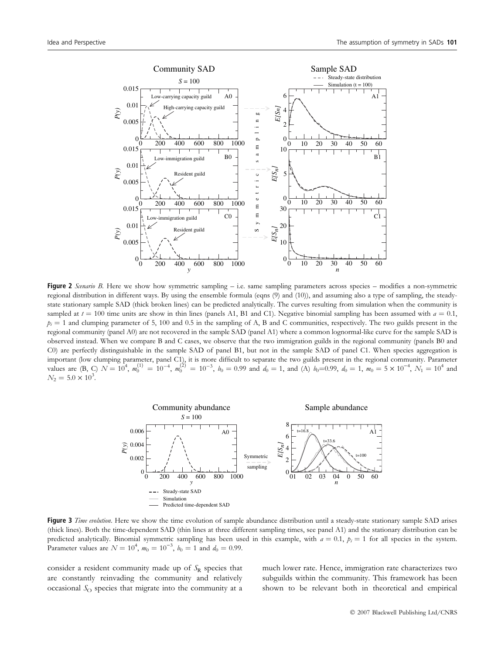

Figure 2 Scenario B. Here we show how symmetric sampling  $-$  i.e. same sampling parameters across species  $-$  modifies a non-symmetric regional distribution in different ways. By using the ensemble formula (eqns (9) and (10)), and assuming also a type of sampling, the steadystate stationary sample SAD (thick broken lines) can be predicted analytically. The curves resulting from simulation when the community is sampled at  $t = 100$  time units are show in thin lines (panels A1, B1 and C1). Negative binomial sampling has been assumed with  $a = 0.1$ ,  $p_i = 1$  and clumping parameter of 5, 100 and 0.5 in the sampling of A, B and C communities, respectively. The two guilds present in the regional community (panel A0) are not recovered in the sample SAD (panel A1) where a common lognormal-like curve for the sample SAD is observed instead. When we compare B and C cases, we observe that the two immigration guilds in the regional community (panels B0 and C0) are perfectly distinguishable in the sample SAD of panel B1, but not in the sample SAD of panel C1. When species aggregation is important (low clumping parameter, panel C1), it is more difficult to separate the two guilds present in the regional community. Parameter values are (B, C)  $N = 10^4$ ,  $m_0^{(1)} = 10^{-4}$ ,  $m_0^{(2)} = 10^{-3}$ ,  $b_0 = 0.99$  and  $d_0 = 1$ , and (A)  $b_0 = 0.99$ ,  $d_0 = 1$ ,  $m_0 = 5 \times 10^{-4}$ ,  $N_1 = 10^4$  and  $N_2 = 5.0 \times 10^3$ .



Figure 3 Time evolution. Here we show the time evolution of sample abundance distribution until a steady-state stationary sample SAD arises (thick lines). Both the time-dependent SAD (thin lines at three different sampling times, see panel A1) and the stationary distribution can be predicted analytically. Binomial symmetric sampling has been used in this example, with  $a = 0.1$ ,  $p_i = 1$  for all species in the system. Parameter values are  $N = 10^4$ ,  $m_0 = 10^{-3}$ ,  $b_0 = 1$  and  $d_0 = 0.99$ .

consider a resident community made up of  $S_R$  species that are constantly reinvading the community and relatively occasional  $S<sub>O</sub>$  species that migrate into the community at a much lower rate. Hence, immigration rate characterizes two subguilds within the community. This framework has been shown to be relevant both in theoretical and empirical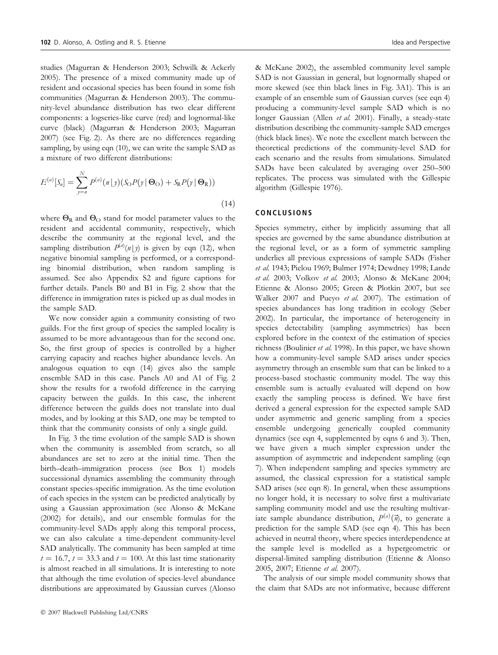studies (Magurran & Henderson 2003; Schwilk & Ackerly 2005). The presence of a mixed community made up of resident and occasional species has been found in some fish communities (Magurran & Henderson 2003). The community-level abundance distribution has two clear different components: a logseries-like curve (red) and lognormal-like curve (black) (Magurran & Henderson 2003; Magurran 2007) (see Fig. 2). As there are no differences regarding sampling, by using eqn (10), we can write the sample SAD as a mixture of two different distributions:

$$
E^{(a)}[S_n] = \sum_{y=n}^{N} P^{(a)}(n|y)(S_{\Omega}P(y|\Theta_{\Omega}) + S_{R}P(y|\Theta_{R}))
$$
\n(14)

where  $\Theta_R$  and  $\Theta_O$  stand for model parameter values to the resident and accidental community, respectively, which describe the community at the regional level, and the sampling distribution  $P^{(a)}(n|y)$  is given by eqn (12), when negative binomial sampling is performed, or a corresponding binomial distribution, when random sampling is assumed. See also Appendix S2 and figure captions for further details. Panels B0 and B1 in Fig. 2 show that the difference in immigration rates is picked up as dual modes in the sample SAD.

We now consider again a community consisting of two guilds. For the first group of species the sampled locality is assumed to be more advantageous than for the second one. So, the first group of species is controlled by a higher carrying capacity and reaches higher abundance levels. An analogous equation to eqn (14) gives also the sample ensemble SAD in this case. Panels A0 and A1 of Fig. 2 show the results for a twofold difference in the carrying capacity between the guilds. In this case, the inherent difference between the guilds does not translate into dual modes, and by looking at this SAD, one may be tempted to think that the community consists of only a single guild.

In Fig. 3 the time evolution of the sample SAD is shown when the community is assembled from scratch, so all abundances are set to zero at the initial time. Then the birth–death–immigration process (see Box 1) models successional dynamics assembling the community through constant species-specific immigration. As the time evolution of each species in the system can be predicted analytically by using a Gaussian approximation (see Alonso & McKane (2002) for details), and our ensemble formulas for the community-level SADs apply along this temporal process, we can also calculate a time-dependent community-level SAD analytically. The community has been sampled at time  $t = 16.7$ ,  $t = 33.3$  and  $t = 100$ . At this last time stationarity is almost reached in all simulations. It is interesting to note that although the time evolution of species-level abundance distributions are approximated by Gaussian curves (Alonso & McKane 2002), the assembled community level sample SAD is not Gaussian in general, but lognormally shaped or more skewed (see thin black lines in Fig. 3A1). This is an example of an ensemble sum of Gaussian curves (see eqn 4) producing a community-level sample SAD which is no longer Gaussian (Allen et al. 2001). Finally, a steady-state distribution describing the community-sample SAD emerges (thick black lines). We note the excellent match between the theoretical predictions of the community-level SAD for each scenario and the results from simulations. Simulated SADs have been calculated by averaging over 250–500 replicates. The process was simulated with the Gillespie algorithm (Gillespie 1976).

#### CONCLUSIONS

Species symmetry, either by implicitly assuming that all species are governed by the same abundance distribution at the regional level, or as a form of symmetric sampling underlies all previous expressions of sample SADs (Fisher et al. 1943; Pielou 1969; Bulmer 1974; Dewdney 1998; Lande et al. 2003; Volkov et al. 2003; Alonso & McKane 2004; Etienne & Alonso 2005; Green & Plotkin 2007, but see Walker 2007 and Pueyo et al. 2007). The estimation of species abundances has long tradition in ecology (Seber 2002). In particular, the importance of heterogeneity in species detectability (sampling asymmetries) has been explored before in the context of the estimation of species richness (Boulinier et al. 1998). In this paper, we have shown how a community-level sample SAD arises under species asymmetry through an ensemble sum that can be linked to a process-based stochastic community model. The way this ensemble sum is actually evaluated will depend on how exactly the sampling process is defined. We have first derived a general expression for the expected sample SAD under asymmetric and generic sampling from a species ensemble undergoing generically coupled community dynamics (see eqn 4, supplemented by eqns 6 and 3). Then, we have given a much simpler expression under the assumption of asymmetric and independent sampling (eqn 7). When independent sampling and species symmetry are assumed, the classical expression for a statistical sample SAD arises (see eqn 8). In general, when these assumptions no longer hold, it is necessary to solve first a multivariate sampling community model and use the resulting multivariate sample abundance distribution,  $P^{(a)}(\vec{n})$ , to generate a prediction for the sample SAD (see eqn 4). This has been achieved in neutral theory, where species interdependence at the sample level is modelled as a hypergeometric or dispersal-limited sampling distribution (Etienne & Alonso 2005, 2007; Etienne et al. 2007).

The analysis of our simple model community shows that the claim that SADs are not informative, because different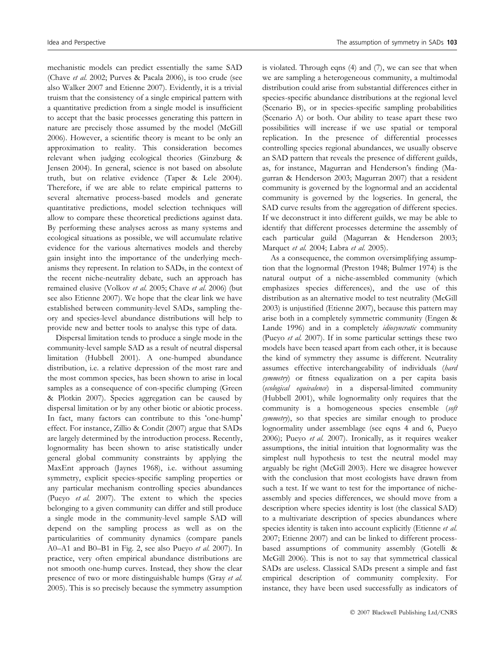mechanistic models can predict essentially the same SAD (Chave et al. 2002; Purves & Pacala 2006), is too crude (see also Walker 2007 and Etienne 2007). Evidently, it is a trivial truism that the consistency of a single empirical pattern with a quantitative prediction from a single model is insufficient to accept that the basic processes generating this pattern in nature are precisely those assumed by the model (McGill 2006). However, a scientific theory is meant to be only an approximation to reality. This consideration becomes relevant when judging ecological theories (Ginzburg & Jensen 2004). In general, science is not based on absolute truth, but on relative evidence (Taper & Lele 2004). Therefore, if we are able to relate empirical patterns to several alternative process-based models and generate quantitative predictions, model selection techniques will allow to compare these theoretical predictions against data. By performing these analyses across as many systems and ecological situations as possible, we will accumulate relative evidence for the various alternatives models and thereby gain insight into the importance of the underlying mechanisms they represent. In relation to SADs, in the context of the recent niche-neutrality debate, such an approach has remained elusive (Volkov et al. 2005; Chave et al. 2006) (but see also Etienne 2007). We hope that the clear link we have established between community-level SADs, sampling theory and species-level abundance distributions will help to provide new and better tools to analyse this type of data.

Dispersal limitation tends to produce a single mode in the community-level sample SAD as a result of neutral dispersal limitation (Hubbell 2001). A one-humped abundance distribution, i.e. a relative depression of the most rare and the most common species, has been shown to arise in local samples as a consequence of con-specific clumping (Green & Plotkin 2007). Species aggregation can be caused by dispersal limitation or by any other biotic or abiotic process. In fact, many factors can contribute to this 'one-hump' effect. For instance, Zillio & Condit (2007) argue that SADs are largely determined by the introduction process. Recently, lognormality has been shown to arise statistically under general global community constraints by applying the MaxEnt approach (Jaynes 1968), i.e. without assuming symmetry, explicit species-specific sampling properties or any particular mechanism controlling species abundances (Pueyo et al. 2007). The extent to which the species belonging to a given community can differ and still produce a single mode in the community-level sample SAD will depend on the sampling process as well as on the particularities of community dynamics (compare panels A0–A1 and B0–B1 in Fig. 2, see also Pueyo et al. 2007). In practice, very often empirical abundance distributions are not smooth one-hump curves. Instead, they show the clear presence of two or more distinguishable humps (Gray et al. 2005). This is so precisely because the symmetry assumption is violated. Through eqns (4) and (7), we can see that when we are sampling a heterogeneous community, a multimodal distribution could arise from substantial differences either in species-specific abundance distributions at the regional level (Scenario B), or in species-specific sampling probabilities (Scenario A) or both. Our ability to tease apart these two possibilities will increase if we use spatial or temporal replication. In the presence of differential processes controlling species regional abundances, we usually observe an SAD pattern that reveals the presence of different guilds, as, for instance, Magurran and Henderson's finding (Magurran & Henderson 2003; Magurran 2007) that a resident community is governed by the lognormal and an accidental community is governed by the logseries. In general, the SAD curve results from the aggregation of different species. If we deconstruct it into different guilds, we may be able to identify that different processes determine the assembly of each particular guild (Magurran & Henderson 2003; Marquet et al. 2004; Labra et al. 2005).

As a consequence, the common oversimplifying assumption that the lognormal (Preston 1948; Bulmer 1974) is the natural output of a niche-assembled community (which emphasizes species differences), and the use of this distribution as an alternative model to test neutrality (McGill 2003) is unjustified (Etienne 2007), because this pattern may arise both in a completely symmetric community (Engen & Lande 1996) and in a completely *idiosyncratic* community (Pueyo et al. 2007). If in some particular settings these two models have been teased apart from each other, it is because the kind of symmetry they assume is different. Neutrality assumes effective interchangeability of individuals (hard symmetry) or fitness equalization on a per capita basis (ecological equivalence) in a dispersal-limited community (Hubbell 2001), while lognormality only requires that the community is a homogeneous species ensemble (soft symmetry), so that species are similar enough to produce lognormality under assemblage (see eqns 4 and 6, Pueyo 2006); Pueyo et al. 2007). Ironically, as it requires weaker assumptions, the initial intuition that lognormality was the simplest null hypothesis to test the neutral model may arguably be right (McGill 2003). Here we disagree however with the conclusion that most ecologists have drawn from such a test. If we want to test for the importance of nicheassembly and species differences, we should move from a description where species identity is lost (the classical SAD) to a multivariate description of species abundances where species identity is taken into account explicitly (Etienne et al. 2007; Etienne 2007) and can be linked to different processbased assumptions of community assembly (Gotelli & McGill 2006). This is not to say that symmetrical classical SADs are useless. Classical SADs present a simple and fast empirical description of community complexity. For instance, they have been used successfully as indicators of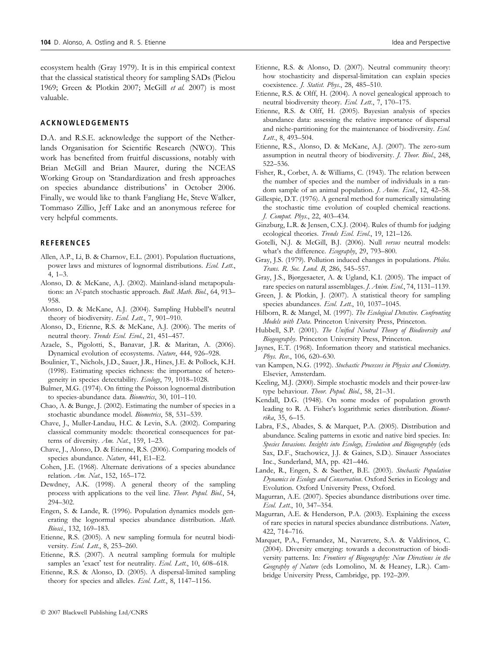# ACKNOWLEDGEMENTS

D.A. and R.S.E. acknowledge the support of the Netherlands Organisation for Scientific Research (NWO). This work has benefited from fruitful discussions, notably with Brian McGill and Brian Maurer, during the NCEAS Working Group on 'Standardization and fresh approaches on species abundance distributions' in October 2006. Finally, we would like to thank Fangliang He, Steve Walker, Tommaso Zillio, Jeff Lake and an anonymous referee for very helpful comments.

# **REFERENCES**

- Allen, A.P., Li, B. & Charnov, E.L. (2001). Population fluctuations, power laws and mixtures of lognormal distributions. Ecol. Lett., 4, 1–3.
- Alonso, D. & McKane, A.J. (2002). Mainland-island metapopulations: an N-patch stochastic approach. Bull. Math. Biol., 64, 913-958.
- Alonso, D. & McKane, A.J. (2004). Sampling Hubbell's neutral theory of biodiversity. Ecol. Lett., 7, 901-910.
- Alonso, D., Etienne, R.S. & McKane, A.J. (2006). The merits of neutral theory. Trends Ecol. Evol., 21, 451-457.
- Azaele, S., Pigolotti, S., Banavar, J.R. & Maritan, A. (2006). Dynamical evolution of ecosystems. Nature, 444, 926–928.
- Boulinier, T., Nichols, J.D., Sauer, J.R., Hines, J.E. & Pollock, K.H. (1998). Estimating species richness: the importance of heterogeneity in species detectability. Ecology, 79, 1018-1028.
- Bulmer, M.G. (1974). On fitting the Poisson lognormal distribution to species-abundance data. Biometrics, 30, 101–110.
- Chao, A. & Bunge, J. (2002). Estimating the number of species in a stochastic abundance model. Biometrics, 58, 531–539.
- Chave, J., Muller-Landau, H.C. & Levin, S.A. (2002). Comparing classical community models: theoretical consequences for patterns of diversity. Am. Nat., 159, 1-23.
- Chave, J., Alonso, D. & Etienne, R.S. (2006). Comparing models of species abundance. Nature, 441, E1-E2.
- Cohen, J.E. (1968). Alternate derivations of a species abundance relation. Am. Nat., 152, 165–172.
- Dewdney, A.K. (1998). A general theory of the sampling process with applications to the veil line. Theor. Popul. Biol., 54, 294–302.
- Engen, S. & Lande, R. (1996). Population dynamics models generating the lognormal species abundance distribution. Math. Biosci., 132, 169–183.
- Etienne, R.S. (2005). A new sampling formula for neutral biodiversity. Ecol. Lett., 8, 253-260.
- Etienne, R.S. (2007). A neutral sampling formula for multiple samples an 'exact' test for neutrality. Ecol. Lett., 10, 608-618.
- Etienne, R.S. & Alonso, D. (2005). A dispersal-limited sampling theory for species and alleles. Ecol. Lett., 8, 1147-1156.
- Etienne, R.S. & Alonso, D. (2007). Neutral community theory: how stochasticity and dispersal-limitation can explain species coexistence. J. Statist. Phys., 28, 485–510.
- Etienne, R.S. & Olff, H. (2004). A novel genealogical approach to neutral biodiversity theory. Ecol. Lett., 7, 170-175.
- Etienne, R.S. & Olff, H. (2005). Bayesian analysis of species abundance data: assessing the relative importance of dispersal and niche-partitioning for the maintenance of biodiversity. Ecol. Lett., 8, 493-504.
- Etienne, R.S., Alonso, D. & McKane, A.J. (2007). The zero-sum assumption in neutral theory of biodiversity. J. Theor. Biol., 248, 522–536.
- Fisher, R., Corbet, A. & Williams, C. (1943). The relation between the number of species and the number of individuals in a random sample of an animal population. *J. Anim. Ecol.*, 12, 42–58.
- Gillespie, D.T. (1976). A general method for numerically simulating the stochastic time evolution of coupled chemical reactions. J. Comput. Phys., 22, 403–434.
- Ginzburg, L.R. & Jensen, C.X.J. (2004). Rules of thumb for judging ecological theories. Trends Ecol. Evol., 19, 121–126.
- Gotelli, N.J. & McGill, B.J. (2006). Null versus neutral models: what's the difference. Ecography, 29, 793–800.
- Gray, J.S. (1979). Pollution induced changes in populations. Philos. Trans. R. Soc. Lond. B, 286, 545–557.
- Gray, J.S., Bjørgesaeter, A. & Ugland, K.I. (2005). The impact of rare species on natural assemblages. J. Anim. Ecol., 74, 1131–1139.
- Green, J. & Plotkin, J. (2007). A statistical theory for sampling species abundances. Ecol. Lett., 10, 1037-1045.
- Hilborn, R. & Mangel, M. (1997). The Ecological Detective. Confronting Models with Data. Princeton University Press, Princeton.
- Hubbell, S.P. (2001). The Unified Neutral Theory of Biodiversity and Biogeography. Princeton University Press, Princeton.
- Jaynes, E.T. (1968). Information theory and statistical mechanics. Phys. Rev., 106, 620-630.
- van Kampen, N.G. (1992). Stochastic Processes in Physics and Chemistry. Elsevier, Amsterdam.
- Keeling, M.J. (2000). Simple stochastic models and their power-law type behaviour. Theor. Popul. Biol., 58, 21–31.
- Kendall, D.G. (1948). On some modes of population growth leading to R. A. Fisher's logarithmic series distribution. Biometrika, 35, 6–15.
- Labra, F.S., Abades, S. & Marquet, P.A. (2005). Distribution and abundance. Scaling patterns in exotic and native bird species. In: Species Invasions. Insights into Ecology, Evolution and Biogeography (eds Sax, D.F., Stachowicz, J.J. & Gaines, S.D.). Sinauer Associates Inc., Sunderland, MA, pp. 421–446.
- Lande, R., Engen, S. & Saether, B.E. (2003). Stochastic Population Dynamics in Ecology and Conservation. Oxford Series in Ecology and Evolution. Oxford University Press, Oxford.
- Magurran, A.E. (2007). Species abundance distributions over time. Ecol. Lett., 10, 347–354.
- Magurran, A.E. & Henderson, P.A. (2003). Explaining the excess of rare species in natural species abundance distributions. Nature, 422, 714–716.
- Marquet, P.A., Fernandez, M., Navarrete, S.A. & Valdivinos, C. (2004). Diversity emerging: towards a deconstruction of biodiversity patterns. In: Frontiers of Biogeography: New Directions in the Geography of Nature (eds Lomolino, M. & Heaney, L.R.). Cambridge University Press, Cambridge, pp. 192–209.